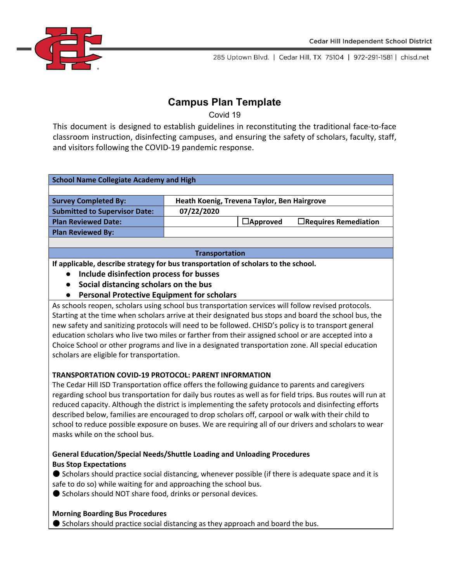

# **Campus Plan Template**

Covid 19

This document is designed to establish guidelines in reconstituting the traditional face-to-face classroom instruction, disinfecting campuses, and ensuring the safety of scholars, faculty, staff, and visitors following the COVID-19 pandemic response.

| <b>School Name Collegiate Academy and High</b> |                                             |                 |                             |  |
|------------------------------------------------|---------------------------------------------|-----------------|-----------------------------|--|
|                                                |                                             |                 |                             |  |
| <b>Survey Completed By:</b>                    | Heath Koenig, Trevena Taylor, Ben Hairgrove |                 |                             |  |
| <b>Submitted to Supervisor Date:</b>           | 07/22/2020                                  |                 |                             |  |
| <b>Plan Reviewed Date:</b>                     |                                             | $\Box$ Approved | $\Box$ Requires Remediation |  |
| <b>Plan Reviewed By:</b>                       |                                             |                 |                             |  |
|                                                |                                             |                 |                             |  |
| <b>Transportation</b>                          |                                             |                 |                             |  |

**If applicable, describe strategy for bus transportation of scholars to the school.**

- **● Include disinfection process for busses**
- **● Social distancing scholars on the bus**
- **● Personal Protective Equipment for scholars**

As schools reopen, scholars using school bus transportation services will follow revised protocols. Starting at the time when scholars arrive at their designated bus stops and board the school bus, the new safety and sanitizing protocols will need to be followed. CHISD's policy is to transport general education scholars who live two miles or farther from their assigned school or are accepted into a Choice School or other programs and live in a designated transportation zone. All special education scholars are eligible for transportation.

# **TRANSPORTATION COVID-19 PROTOCOL: PARENT INFORMATION**

The Cedar Hill ISD Transportation office offers the following guidance to parents and caregivers regarding school bus transportation for daily bus routes as well as for field trips. Bus routes will run at reduced capacity. Although the district is implementing the safety protocols and disinfecting efforts described below, families are encouraged to drop scholars off, carpool or walk with their child to school to reduce possible exposure on buses. We are requiring all of our drivers and scholars to wear masks while on the school bus.

# **General Education/Special Needs/Shuttle Loading and Unloading Procedures Bus Stop Expectations**

● Scholars should practice social distancing, whenever possible (if there is adequate space and it is safe to do so) while waiting for and approaching the school bus.

● Scholars should NOT share food, drinks or personal devices.

# **Morning Boarding Bus Procedures**

● Scholars should practice social distancing as they approach and board the bus.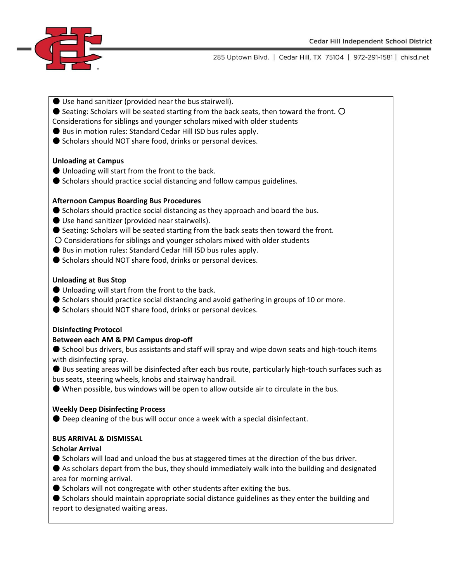

- Use hand sanitizer (provided near the bus stairwell).
- $\bullet$  Seating: Scholars will be seated starting from the back seats, then toward the front.  $\circ$ Considerations for siblings and younger scholars mixed with older students
- Bus in motion rules: Standard Cedar Hill ISD bus rules apply.
- Scholars should NOT share food, drinks or personal devices.

#### **Unloading at Campus**

- Unloading will start from the front to the back.
- Scholars should practice social distancing and follow campus guidelines.

#### **Afternoon Campus Boarding Bus Procedures**

- Scholars should practice social distancing as they approach and board the bus.
- Use hand sanitizer (provided near stairwells).
- Seating: Scholars will be seated starting from the back seats then toward the front.
- Considerations for siblings and younger scholars mixed with older students
- Bus in motion rules: Standard Cedar Hill ISD bus rules apply.
- Scholars should NOT share food, drinks or personal devices.

#### **Unloading at Bus Stop**

- Unloading will start from the front to the back.
- Scholars should practice social distancing and avoid gathering in groups of 10 or more.
- Scholars should NOT share food, drinks or personal devices.

#### **Disinfecting Protocol**

## **Between each AM & PM Campus drop-off**

● School bus drivers, bus assistants and staff will spray and wipe down seats and high-touch items with disinfecting spray.

● Bus seating areas will be disinfected after each bus route, particularly high-touch surfaces such as bus seats, steering wheels, knobs and stairway handrail.

● When possible, bus windows will be open to allow outside air to circulate in the bus.

#### **Weekly Deep Disinfecting Process**

● Deep cleaning of the bus will occur once a week with a special disinfectant.

## **BUS ARRIVAL & DISMISSAL**

#### **Scholar Arrival**

● Scholars will load and unload the bus at staggered times at the direction of the bus driver.

● As scholars depart from the bus, they should immediately walk into the building and designated area for morning arrival.

● Scholars will not congregate with other students after exiting the bus.

● Scholars should maintain appropriate social distance guidelines as they enter the building and report to designated waiting areas.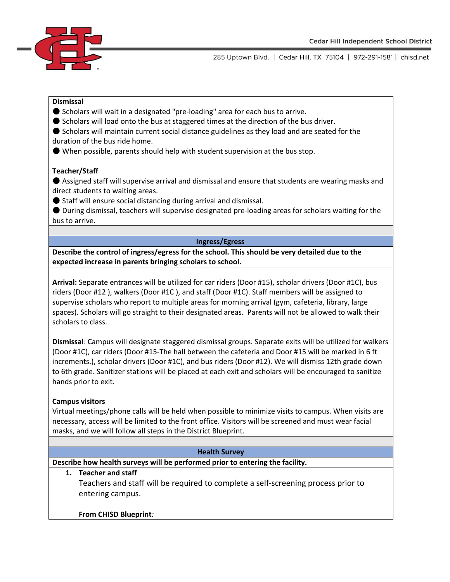

### **Dismissal**

- Scholars will wait in a designated "pre-loading" area for each bus to arrive.
- Scholars will load onto the bus at staggered times at the direction of the bus driver.
- Scholars will maintain current social distance guidelines as they load and are seated for the duration of the bus ride home.
- When possible, parents should help with student supervision at the bus stop.

#### **Teacher/Staff**

● Assigned staff will supervise arrival and dismissal and ensure that students are wearing masks and direct students to waiting areas.

● Staff will ensure social distancing during arrival and dismissal.

● During dismissal, teachers will supervise designated pre-loading areas for scholars waiting for the bus to arrive.

#### **Ingress/Egress**

**Describe the control of ingress/egress for the school. This should be very detailed due to the expected increase in parents bringing scholars to school.**

**Arrival:** Separate entrances will be utilized for car riders (Door #15), scholar drivers (Door #1C), bus riders (Door #12 ), walkers (Door #1C ), and staff (Door #1C). Staff members will be assigned to supervise scholars who report to multiple areas for morning arrival (gym, cafeteria, library, large spaces). Scholars will go straight to their designated areas. Parents will not be allowed to walk their scholars to class.

**Dismissal**: Campus will designate staggered dismissal groups. Separate exits will be utilized for walkers (Door #1C), car riders (Door #15-The hall between the cafeteria and Door #15 will be marked in 6 ft increments.), scholar drivers (Door #1C), and bus riders (Door #12). We will dismiss 12th grade down to 6th grade. Sanitizer stations will be placed at each exit and scholars will be encouraged to sanitize hands prior to exit.

## **Campus visitors**

Virtual meetings/phone calls will be held when possible to minimize visits to campus. When visits are necessary, access will be limited to the front office. Visitors will be screened and must wear facial masks, and we will follow all steps in the District Blueprint.

#### **Health Survey**

**Describe how health surveys will be performed prior to entering the facility.**

## **1. Teacher and staff**

Teachers and staff will be required to complete a self-screening process prior to entering campus.

## **From CHISD Blueprint***:*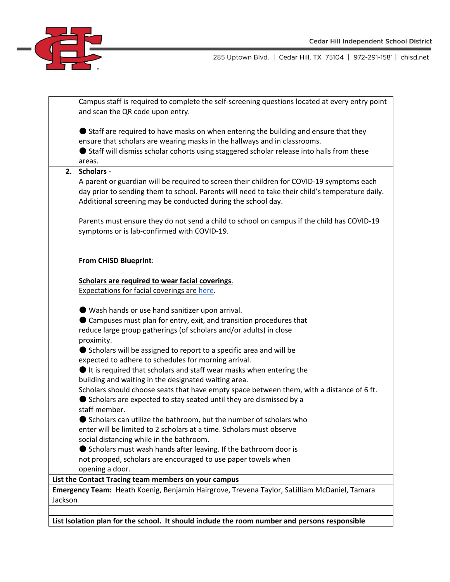

|         | Campus staff is required to complete the self-screening questions located at every entry point<br>and scan the QR code upon entry.                                                                                                                                                                                                                                                                                                                                                                                                                                                                                                                                                                                                                                                                                                                                                                                                                                                                                                                                        |
|---------|---------------------------------------------------------------------------------------------------------------------------------------------------------------------------------------------------------------------------------------------------------------------------------------------------------------------------------------------------------------------------------------------------------------------------------------------------------------------------------------------------------------------------------------------------------------------------------------------------------------------------------------------------------------------------------------------------------------------------------------------------------------------------------------------------------------------------------------------------------------------------------------------------------------------------------------------------------------------------------------------------------------------------------------------------------------------------|
|         | Staff are required to have masks on when entering the building and ensure that they<br>ensure that scholars are wearing masks in the hallways and in classrooms.<br>Staff will dismiss scholar cohorts using staggered scholar release into halls from these<br>areas.                                                                                                                                                                                                                                                                                                                                                                                                                                                                                                                                                                                                                                                                                                                                                                                                    |
| 2.      | <b>Scholars -</b><br>A parent or guardian will be required to screen their children for COVID-19 symptoms each<br>day prior to sending them to school. Parents will need to take their child's temperature daily.<br>Additional screening may be conducted during the school day.<br>Parents must ensure they do not send a child to school on campus if the child has COVID-19                                                                                                                                                                                                                                                                                                                                                                                                                                                                                                                                                                                                                                                                                           |
|         | symptoms or is lab-confirmed with COVID-19.<br>From CHISD Blueprint:                                                                                                                                                                                                                                                                                                                                                                                                                                                                                                                                                                                                                                                                                                                                                                                                                                                                                                                                                                                                      |
|         | Scholars are required to wear facial coverings.                                                                                                                                                                                                                                                                                                                                                                                                                                                                                                                                                                                                                                                                                                                                                                                                                                                                                                                                                                                                                           |
|         | <b>Expectations for facial coverings are here.</b>                                                                                                                                                                                                                                                                                                                                                                                                                                                                                                                                                                                                                                                                                                                                                                                                                                                                                                                                                                                                                        |
|         | ● Wash hands or use hand sanitizer upon arrival.<br>Campuses must plan for entry, exit, and transition procedures that<br>reduce large group gatherings (of scholars and/or adults) in close<br>proximity.<br>● Scholars will be assigned to report to a specific area and will be<br>expected to adhere to schedules for morning arrival.<br>It is required that scholars and staff wear masks when entering the<br>building and waiting in the designated waiting area.<br>Scholars should choose seats that have empty space between them, with a distance of 6 ft.<br>● Scholars are expected to stay seated until they are dismissed by a<br>staff member.<br>● Scholars can utilize the bathroom, but the number of scholars who<br>enter will be limited to 2 scholars at a time. Scholars must observe<br>social distancing while in the bathroom.<br>Scholars must wash hands after leaving. If the bathroom door is<br>not propped, scholars are encouraged to use paper towels when<br>opening a door.<br>List the Contact Tracing team members on your campus |
|         | Emergency Team: Heath Koenig, Benjamin Hairgrove, Trevena Taylor, SaLilliam McDaniel, Tamara                                                                                                                                                                                                                                                                                                                                                                                                                                                                                                                                                                                                                                                                                                                                                                                                                                                                                                                                                                              |
| Jackson |                                                                                                                                                                                                                                                                                                                                                                                                                                                                                                                                                                                                                                                                                                                                                                                                                                                                                                                                                                                                                                                                           |
|         | List Isolation plan for the school. It should include the room number and persons responsible                                                                                                                                                                                                                                                                                                                                                                                                                                                                                                                                                                                                                                                                                                                                                                                                                                                                                                                                                                             |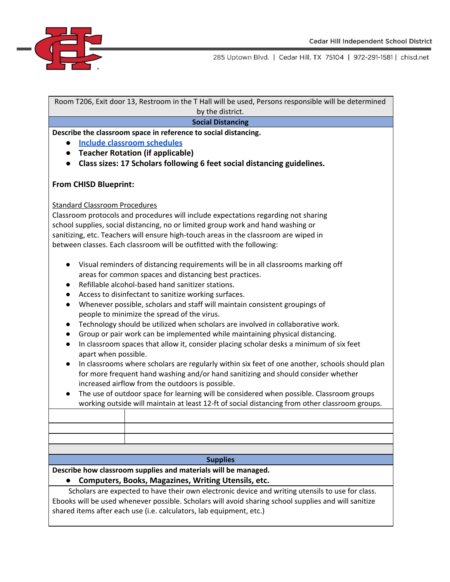

Room T206, Exit door 13, Restroom in the T Hall will be used, Persons responsible will be determined by the district.

#### **Social Distancing**

**Describe the classroom space in reference to social distancing.**

- **● [Include classroom schedules](https://docs.google.com/spreadsheets/d/1T4PQnPfnx0iauCoW-dwCmVX8n-_TkxsXhTFy1P97GHM/edit?usp=sharing)**
- **● Teacher Rotation (if applicable)**
- **● Class sizes: 17 Scholars following 6 feet social distancing guidelines.**

## **From CHISD Blueprint:**

#### Standard Classroom Procedures

Classroom protocols and procedures will include expectations regarding not sharing school supplies, social distancing, no or limited group work and hand washing or sanitizing, etc. Teachers will ensure high-touch areas in the classroom are wiped in between classes. Each classroom will be outfitted with the following:

- Visual reminders of distancing requirements will be in all classrooms marking off areas for common spaces and distancing best practices.
- Refillable alcohol-based hand sanitizer stations.
- Access to disinfectant to sanitize working surfaces.
- Whenever possible, scholars and staff will maintain consistent groupings of people to minimize the spread of the virus.
- Technology should be utilized when scholars are involved in collaborative work.
- Group or pair work can be implemented while maintaining physical distancing.
- In classroom spaces that allow it, consider placing scholar desks a minimum of six feet apart when possible.
- In classrooms where scholars are regularly within six feet of one another, schools should plan for more frequent hand washing and/or hand sanitizing and should consider whether increased airflow from the outdoors is possible.
- The use of outdoor space for learning will be considered when possible. Classroom groups working outside will maintain at least 12-ft of social distancing from other classroom groups.

#### **Supplies**

**Describe how classroom supplies and materials will be managed.**

## **● Computers, Books, Magazines, Writing Utensils, etc.**

Scholars are expected to have their own electronic device and writing utensils to use for class. Ebooks will be used whenever possible. Scholars will avoid sharing school supplies and will sanitize shared items after each use (i.e. calculators, lab equipment, etc.)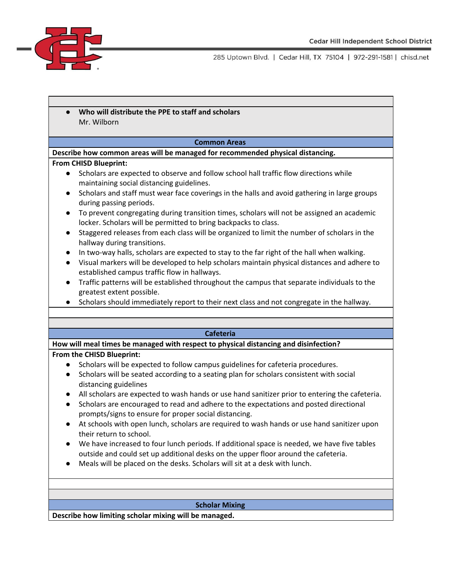

**● Who will distribute the PPE to staff and scholars** Mr. Wilborn

#### **Common Areas**

**Describe how common areas will be managed for recommended physical distancing.**

#### **From CHISD Blueprint:**

- Scholars are expected to observe and follow school hall traffic flow directions while maintaining social distancing guidelines.
- Scholars and staff must wear face coverings in the halls and avoid gathering in large groups during passing periods.
- To prevent congregating during transition times, scholars will not be assigned an academic locker. Scholars will be permitted to bring backpacks to class.
- Staggered releases from each class will be organized to limit the number of scholars in the hallway during transitions.
- In two-way halls, scholars are expected to stay to the far right of the hall when walking.
- Visual markers will be developed to help scholars maintain physical distances and adhere to established campus traffic flow in hallways.
- Traffic patterns will be established throughout the campus that separate individuals to the greatest extent possible.
- Scholars should immediately report to their next class and not congregate in the hallway.

#### **Cafeteria**

**How will meal times be managed with respect to physical distancing and disinfection?**

#### **From the CHISD Blueprint:**

- Scholars will be expected to follow campus guidelines for cafeteria procedures.
- Scholars will be seated according to a seating plan for scholars consistent with social distancing guidelines
- All scholars are expected to wash hands or use hand sanitizer prior to entering the cafeteria.
- Scholars are encouraged to read and adhere to the expectations and posted directional prompts/signs to ensure for proper social distancing.
- At schools with open lunch, scholars are required to wash hands or use hand sanitizer upon their return to school.
- We have increased to four lunch periods. If additional space is needed, we have five tables outside and could set up additional desks on the upper floor around the cafeteria.
- Meals will be placed on the desks. Scholars will sit at a desk with lunch.

#### **Scholar Mixing**

**Describe how limiting scholar mixing will be managed.**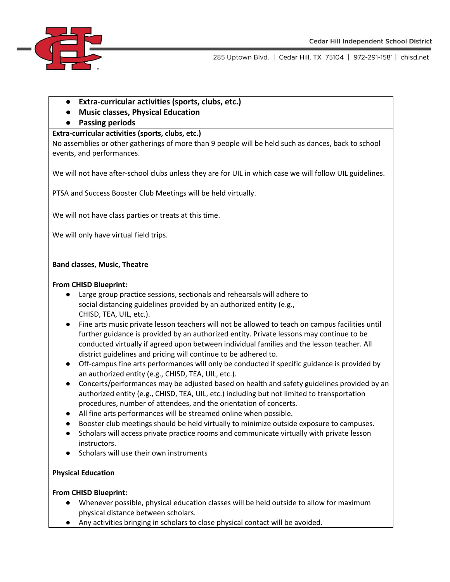

- **● Extra-curricular activities (sports, clubs, etc.)**
- **● Music classes, Physical Education**
- **● Passing periods**

## **Extra-curricular activities (sports, clubs, etc.)**

No assemblies or other gatherings of more than 9 people will be held such as dances, back to school events, and performances.

We will not have after-school clubs unless they are for UIL in which case we will follow UIL guidelines.

PTSA and Success Booster Club Meetings will be held virtually.

We will not have class parties or treats at this time.

We will only have virtual field trips.

## **Band classes, Music, Theatre**

## **From CHISD Blueprint:**

- Large group practice sessions, sectionals and rehearsals will adhere to social distancing guidelines provided by an authorized entity (e.g., CHISD, TEA, UIL, etc.).
- Fine arts music private lesson teachers will not be allowed to teach on campus facilities until further guidance is provided by an authorized entity. Private lessons may continue to be conducted virtually if agreed upon between individual families and the lesson teacher. All district guidelines and pricing will continue to be adhered to.
- Off-campus fine arts performances will only be conducted if specific guidance is provided by an authorized entity (e.g., CHISD, TEA, UIL, etc.).
- Concerts/performances may be adjusted based on health and safety guidelines provided by an authorized entity (e.g., CHISD, TEA, UIL, etc.) including but not limited to transportation procedures, number of attendees, and the orientation of concerts.
- All fine arts performances will be streamed online when possible.
- Booster club meetings should be held virtually to minimize outside exposure to campuses.
- Scholars will access private practice rooms and communicate virtually with private lesson instructors.
- Scholars will use their own instruments

## **Physical Education**

## **From CHISD Blueprint:**

- Whenever possible, physical education classes will be held outside to allow for maximum physical distance between scholars.
- Any activities bringing in scholars to close physical contact will be avoided.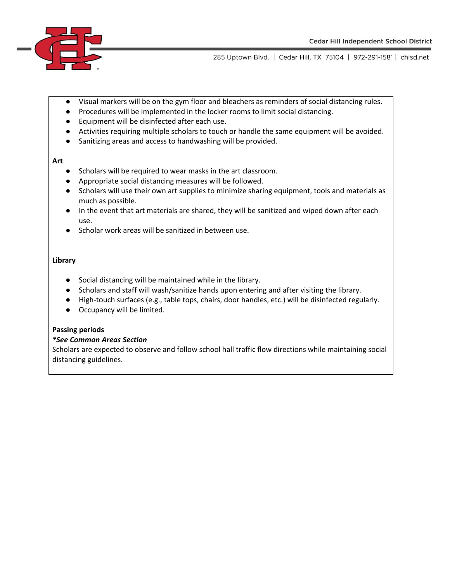

- Visual markers will be on the gym floor and bleachers as reminders of social distancing rules.
- Procedures will be implemented in the locker rooms to limit social distancing.
- Equipment will be disinfected after each use.
- Activities requiring multiple scholars to touch or handle the same equipment will be avoided.
- Sanitizing areas and access to handwashing will be provided.

#### **Art**

- Scholars will be required to wear masks in the art classroom.
- Appropriate social distancing measures will be followed.
- Scholars will use their own art supplies to minimize sharing equipment, tools and materials as much as possible.
- In the event that art materials are shared, they will be sanitized and wiped down after each use.
- Scholar work areas will be sanitized in between use.

## **Library**

- Social distancing will be maintained while in the library.
- Scholars and staff will wash/sanitize hands upon entering and after visiting the library.
- High-touch surfaces (e.g., table tops, chairs, door handles, etc.) will be disinfected regularly.
- Occupancy will be limited.

## **Passing periods**

#### *\*See Common Areas Section*

Scholars are expected to observe and follow school hall traffic flow directions while maintaining social distancing guidelines.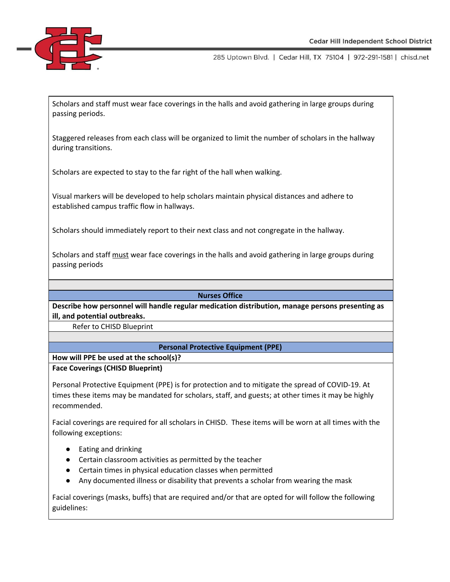

Scholars and staff must wear face coverings in the halls and avoid gathering in large groups during passing periods.

Staggered releases from each class will be organized to limit the number of scholars in the hallway during transitions.

Scholars are expected to stay to the far right of the hall when walking.

Visual markers will be developed to help scholars maintain physical distances and adhere to established campus traffic flow in hallways.

Scholars should immediately report to their next class and not congregate in the hallway.

Scholars and staff must wear face coverings in the halls and avoid gathering in large groups during passing periods

## **Nurses Office**

**Describe how personnel will handle regular medication distribution, manage persons presenting as ill, and potential outbreaks.**

Refer to CHISD Blueprint

## **Personal Protective Equipment (PPE)**

**How will PPE be used at the school(s)?**

## **Face Coverings (CHISD Blueprint)**

Personal Protective Equipment (PPE) is for protection and to mitigate the spread of COVID-19. At times these items may be mandated for scholars, staff, and guests; at other times it may be highly recommended.

Facial coverings are required for all scholars in CHISD. These items will be worn at all times with the following exceptions:

- Eating and drinking
- Certain classroom activities as permitted by the teacher
- Certain times in physical education classes when permitted
- Any documented illness or disability that prevents a scholar from wearing the mask

Facial coverings (masks, buffs) that are required and/or that are opted for will follow the following guidelines: